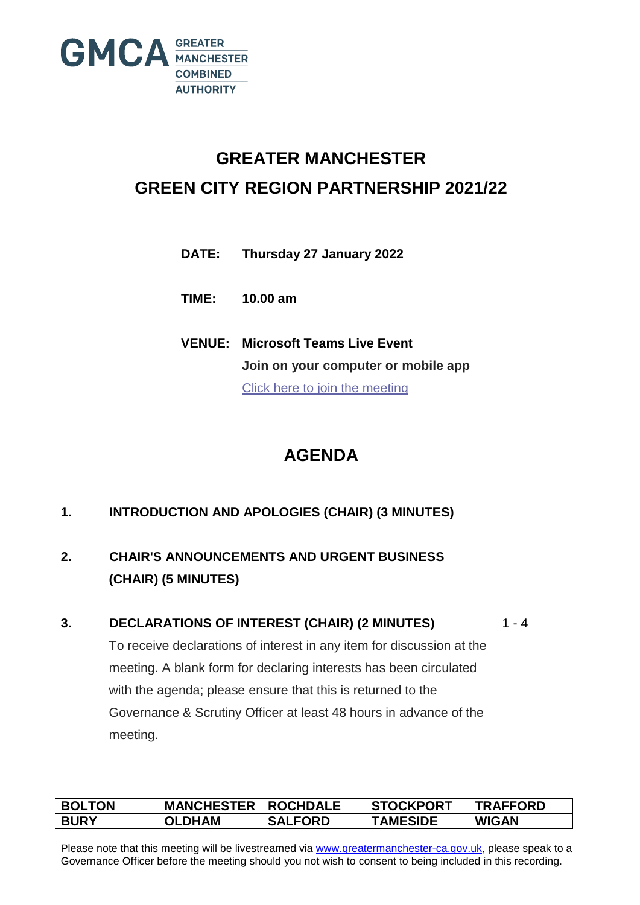

# **GREATER MANCHESTER GREEN CITY REGION PARTNERSHIP 2021/22**

- **DATE: Thursday 27 January 2022**
- **TIME: 10.00 am**
- **VENUE: Microsoft Teams Live Event Join on your computer or mobile app** [Click here to join the meeting](https://teams.microsoft.com/l/meetup-join/19%3ameeting_ZDJhYzFiYjgtYzkxZC00MWJlLWI0MmMtMWI4NjIxOGY1MDdk%40thread.v2/0?context=%7b%22Tid%22%3a%22e8d8036a-b5f9-4f3f-9d36-d7cd740299bb%22%2c%22Oid%22%3a%22967f3f39-e2ff-4b86-aaa2-4791ec3951ce%22%7d)

#### **AGENDA**

- **1. INTRODUCTION AND APOLOGIES (CHAIR) (3 MINUTES)**
- **2. CHAIR'S ANNOUNCEMENTS AND URGENT BUSINESS (CHAIR) (5 MINUTES)**

#### **3. DECLARATIONS OF INTEREST (CHAIR) (2 MINUTES)**  $1 - 4$

To receive declarations of interest in any item for discussion at the meeting. A blank form for declaring interests has been circulated with the agenda; please ensure that this is returned to the Governance & Scrutiny Officer at least 48 hours in advance of the meeting.

| <b>BOLTON</b> | <b>MANCHESTER   ROCHDALE</b> |                | <b>STOCKPORT</b> | <b>TRAFFORD</b> |
|---------------|------------------------------|----------------|------------------|-----------------|
| <b>BURY</b>   | <b>OLDHAM</b>                | <b>SALFORD</b> | <b>TAMESIDE</b>  | <b>WIGAN</b>    |

Please note that this meeting will be livestreamed via [www.greatermanchester-ca.gov.uk,](http://www.greatermanchester-ca.gov.uk/) please speak to a Governance Officer before the meeting should you not wish to consent to being included in this recording.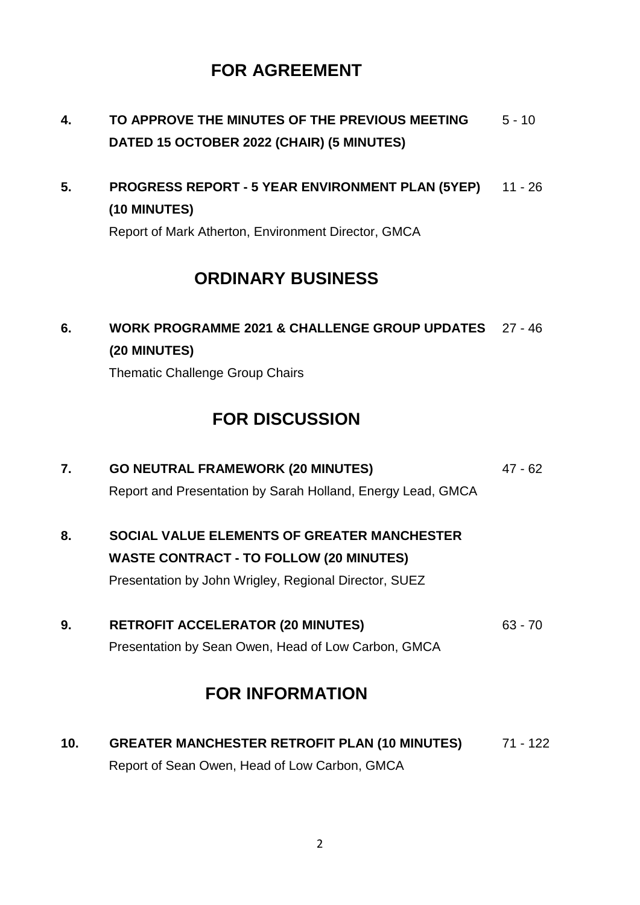#### **FOR AGREEMENT**

- **4. TO APPROVE THE MINUTES OF THE PREVIOUS MEETING DATED 15 OCTOBER 2022 (CHAIR) (5 MINUTES)** 5 - 10
- **5. PROGRESS REPORT - 5 YEAR ENVIRONMENT PLAN (5YEP) (10 MINUTES)** 11 - 26

Report of Mark Atherton, Environment Director, GMCA

### **ORDINARY BUSINESS**

#### **6. WORK PROGRAMME 2021 & CHALLENGE GROUP UPDATES** 27 - 46 **(20 MINUTES)**

Thematic Challenge Group Chairs

### **FOR DISCUSSION**

- **7. GO NEUTRAL FRAMEWORK (20 MINUTES)** Report and Presentation by Sarah Holland, Energy Lead, GMCA 47 - 62
- **8. SOCIAL VALUE ELEMENTS OF GREATER MANCHESTER WASTE CONTRACT - TO FOLLOW (20 MINUTES)** Presentation by John Wrigley, Regional Director, SUEZ
- **9. RETROFIT ACCELERATOR (20 MINUTES)** Presentation by Sean Owen, Head of Low Carbon, GMCA 63 - 70

## **FOR INFORMATION**

**10. GREATER MANCHESTER RETROFIT PLAN (10 MINUTES)** Report of Sean Owen, Head of Low Carbon, GMCA 71 - 122